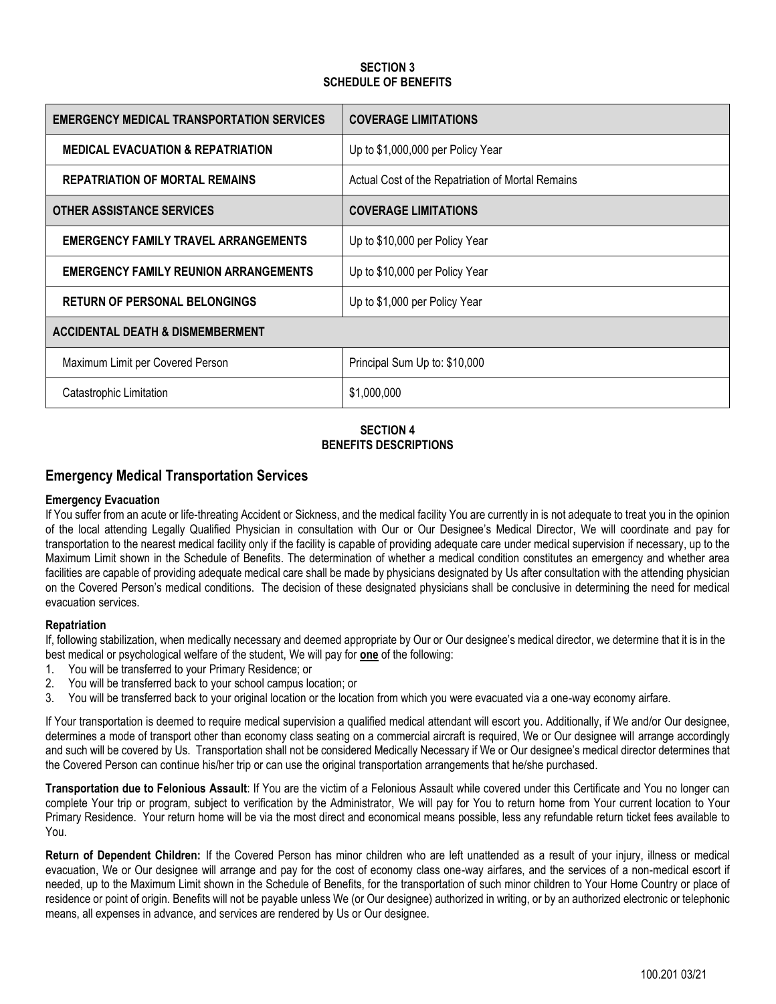### **SECTION 3 SCHEDULE OF BENEFITS**

| <b>EMERGENCY MEDICAL TRANSPORTATION SERVICES</b> | <b>COVERAGE LIMITATIONS</b>                       |
|--------------------------------------------------|---------------------------------------------------|
| <b>MEDICAL EVACUATION &amp; REPATRIATION</b>     | Up to \$1,000,000 per Policy Year                 |
| <b>REPATRIATION OF MORTAL REMAINS</b>            | Actual Cost of the Repatriation of Mortal Remains |
| <b>OTHER ASSISTANCE SERVICES</b>                 | <b>COVERAGE LIMITATIONS</b>                       |
| <b>EMERGENCY FAMILY TRAVEL ARRANGEMENTS</b>      | Up to \$10,000 per Policy Year                    |
| <b>EMERGENCY FAMILY REUNION ARRANGEMENTS</b>     | Up to \$10,000 per Policy Year                    |
| <b>RETURN OF PERSONAL BELONGINGS</b>             | Up to \$1,000 per Policy Year                     |
| <b>ACCIDENTAL DEATH &amp; DISMEMBERMENT</b>      |                                                   |
| Maximum Limit per Covered Person                 | Principal Sum Up to: \$10,000                     |
| Catastrophic Limitation                          | \$1,000,000                                       |

### **SECTION 4 BENEFITS DESCRIPTIONS**

# **Emergency Medical Transportation Services**

### **Emergency Evacuation**

If You suffer from an acute or life-threating Accident or Sickness, and the medical facility You are currently in is not adequate to treat you in the opinion of the local attending Legally Qualified Physician in consultation with Our or Our Designee's Medical Director, We will coordinate and pay for transportation to the nearest medical facility only if the facility is capable of providing adequate care under medical supervision if necessary, up to the Maximum Limit shown in the Schedule of Benefits. The determination of whether a medical condition constitutes an emergency and whether area facilities are capable of providing adequate medical care shall be made by physicians designated by Us after consultation with the attending physician on the Covered Person's medical conditions. The decision of these designated physicians shall be conclusive in determining the need for medical evacuation services.

### **Repatriation**

If, following stabilization, when medically necessary and deemed appropriate by Our or Our designee's medical director, we determine that it is in the best medical or psychological welfare of the student, We will pay for **one** of the following:

- 1. You will be transferred to your Primary Residence; or
- 2. You will be transferred back to your school campus location; or
- 3. You will be transferred back to your original location or the location from which you were evacuated via a one-way economy airfare.

If Your transportation is deemed to require medical supervision a qualified medical attendant will escort you. Additionally, if We and/or Our designee, determines a mode of transport other than economy class seating on a commercial aircraft is required, We or Our designee will arrange accordingly and such will be covered by Us. Transportation shall not be considered Medically Necessary if We or Our designee's medical director determines that the Covered Person can continue his/her trip or can use the original transportation arrangements that he/she purchased.

**Transportation due to Felonious Assault**: If You are the victim of a Felonious Assault while covered under this Certificate and You no longer can complete Your trip or program, subject to verification by the Administrator, We will pay for You to return home from Your current location to Your Primary Residence. Your return home will be via the most direct and economical means possible, less any refundable return ticket fees available to You.

**Return of Dependent Children:** If the Covered Person has minor children who are left unattended as a result of your injury, illness or medical evacuation, We or Our designee will arrange and pay for the cost of economy class one-way airfares, and the services of a non-medical escort if needed, up to the Maximum Limit shown in the Schedule of Benefits, for the transportation of such minor children to Your Home Country or place of residence or point of origin. Benefits will not be payable unless We (or Our designee) authorized in writing, or by an authorized electronic or telephonic means, all expenses in advance, and services are rendered by Us or Our designee.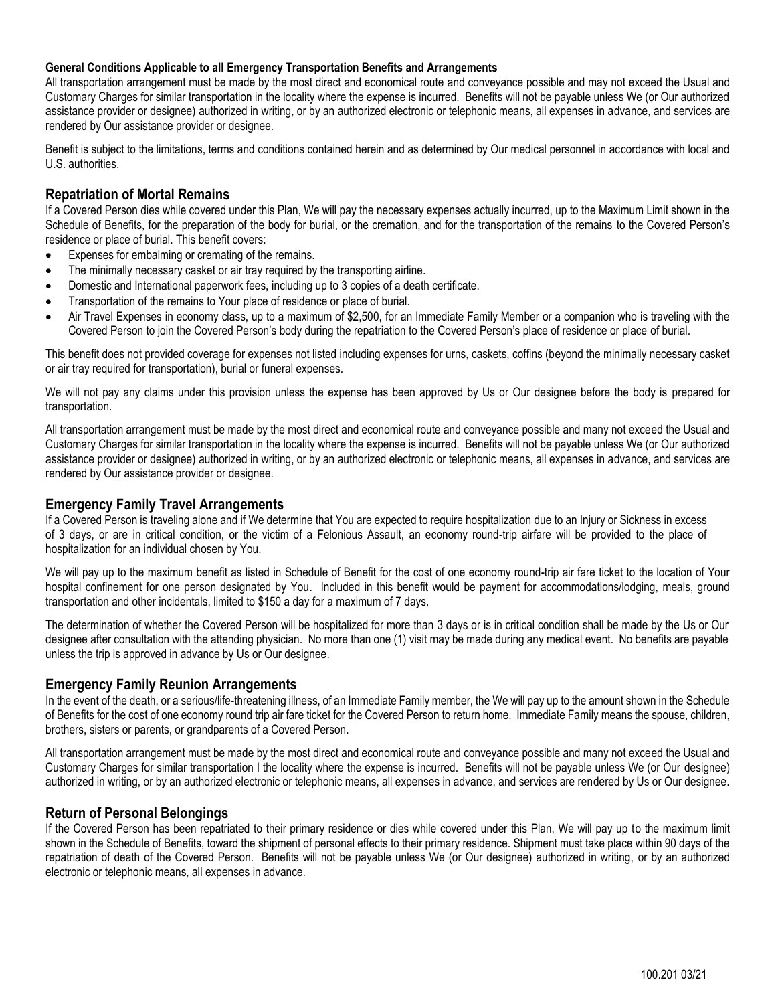### **General Conditions Applicable to all Emergency Transportation Benefits and Arrangements**

All transportation arrangement must be made by the most direct and economical route and conveyance possible and may not exceed the Usual and Customary Charges for similar transportation in the locality where the expense is incurred. Benefits will not be payable unless We (or Our authorized assistance provider or designee) authorized in writing, or by an authorized electronic or telephonic means, all expenses in advance, and services are rendered by Our assistance provider or designee.

Benefit is subject to the limitations, terms and conditions contained herein and as determined by Our medical personnel in accordance with local and U.S. authorities.

## **Repatriation of Mortal Remains**

If a Covered Person dies while covered under this Plan, We will pay the necessary expenses actually incurred, up to the Maximum Limit shown in the Schedule of Benefits, for the preparation of the body for burial, or the cremation, and for the transportation of the remains to the Covered Person's residence or place of burial. This benefit covers:

- Expenses for embalming or cremating of the remains.
- The minimally necessary casket or air tray required by the transporting airline.
- Domestic and International paperwork fees, including up to 3 copies of a death certificate.
- Transportation of the remains to Your place of residence or place of burial.
- Air Travel Expenses in economy class, up to a maximum of \$2,500, for an Immediate Family Member or a companion who is traveling with the Covered Person to join the Covered Person's body during the repatriation to the Covered Person's place of residence or place of burial.

This benefit does not provided coverage for expenses not listed including expenses for urns, caskets, coffins (beyond the minimally necessary casket or air tray required for transportation), burial or funeral expenses.

We will not pay any claims under this provision unless the expense has been approved by Us or Our designee before the body is prepared for transportation.

All transportation arrangement must be made by the most direct and economical route and conveyance possible and many not exceed the Usual and Customary Charges for similar transportation in the locality where the expense is incurred. Benefits will not be payable unless We (or Our authorized assistance provider or designee) authorized in writing, or by an authorized electronic or telephonic means, all expenses in advance, and services are rendered by Our assistance provider or designee.

### **Emergency Family Travel Arrangements**

If a Covered Person is traveling alone and if We determine that You are expected to require hospitalization due to an Injury or Sickness in excess of 3 days, or are in critical condition, or the victim of a Felonious Assault, an economy round-trip airfare will be provided to the place of hospitalization for an individual chosen by You.

We will pay up to the maximum benefit as listed in Schedule of Benefit for the cost of one economy round-trip air fare ticket to the location of Your hospital confinement for one person designated by You. Included in this benefit would be payment for accommodations/lodging, meals, ground transportation and other incidentals, limited to \$150 a day for a maximum of 7 days.

The determination of whether the Covered Person will be hospitalized for more than 3 days or is in critical condition shall be made by the Us or Our designee after consultation with the attending physician. No more than one (1) visit may be made during any medical event. No benefits are payable unless the trip is approved in advance by Us or Our designee.

### **Emergency Family Reunion Arrangements**

In the event of the death, or a serious/life-threatening illness, of an Immediate Family member, the We will pay up to the amount shown in the Schedule of Benefits for the cost of one economy round trip air fare ticket for the Covered Person to return home. Immediate Family means the spouse, children, brothers, sisters or parents, or grandparents of a Covered Person.

All transportation arrangement must be made by the most direct and economical route and conveyance possible and many not exceed the Usual and Customary Charges for similar transportation I the locality where the expense is incurred. Benefits will not be payable unless We (or Our designee) authorized in writing, or by an authorized electronic or telephonic means, all expenses in advance, and services are rendered by Us or Our designee.

### **Return of Personal Belongings**

If the Covered Person has been repatriated to their primary residence or dies while covered under this Plan, We will pay up to the maximum limit shown in the Schedule of Benefits, toward the shipment of personal effects to their primary residence. Shipment must take place within 90 days of the repatriation of death of the Covered Person. Benefits will not be payable unless We (or Our designee) authorized in writing, or by an authorized electronic or telephonic means, all expenses in advance.